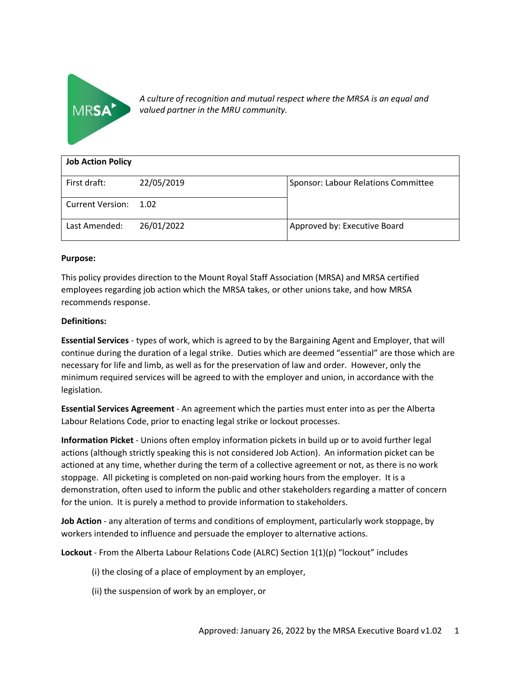

*A culture of recognition and mutual respect where the MRSA is an equal and valued partner in the MRU community.*

| <b>Job Action Policy</b> |            |                                     |  |  |
|--------------------------|------------|-------------------------------------|--|--|
| First draft:             | 22/05/2019 | Sponsor: Labour Relations Committee |  |  |
| <b>Current Version:</b>  | 1.02       |                                     |  |  |
| Last Amended:            | 26/01/2022 | Approved by: Executive Board        |  |  |

#### **Purpose:**

This policy provides direction to the Mount Royal Staff Association (MRSA) and MRSA certified employees regarding job action which the MRSA takes, or other unions take, and how MRSA recommends response.

#### **Definitions:**

**Essential Services** - types of work, which is agreed to by the Bargaining Agent and Employer, that will continue during the duration of a legal strike. Duties which are deemed "essential" are those which are necessary for life and limb, as well as for the preservation of law and order. However, only the minimum required services will be agreed to with the employer and union, in accordance with the legislation.

**Essential Services Agreement** - An agreement which the parties must enter into as per the Alberta Labour Relations Code, prior to enacting legal strike or lockout processes.

**Information Picket** - Unions often employ information pickets in build up or to avoid further legal actions (although strictly speaking this is not considered Job Action). An information picket can be actioned at any time, whether during the term of a collective agreement or not, as there is no work stoppage. All picketing is completed on non-paid working hours from the employer. It is a demonstration, often used to inform the public and other stakeholders regarding a matter of concern for the union. It is purely a method to provide information to stakeholders.

**Job Action** - any alteration of terms and conditions of employment, particularly work stoppage, by workers intended to influence and persuade the employer to alternative actions.

**Lockout** - From the Alberta Labour Relations Code (ALRC) Section 1(1)(p) "lockout" includes

- (i) the closing of a place of employment by an employer,
- (ii) the suspension of work by an employer, or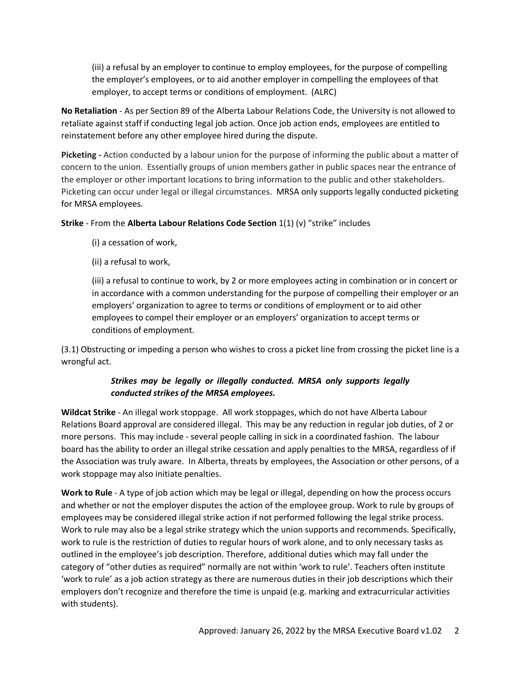(iii) a refusal by an employer to continue to employ employees, for the purpose of compelling the employer's employees, or to aid another employer in compelling the employees of that employer, to accept terms or conditions of employment. (ALRC)

**No Retaliation** - As per Section 89 of the Alberta Labour Relations Code, the University is not allowed to retaliate against staff if conducting legal job action. Once job action ends, employees are entitled to reinstatement before any other employee hired during the dispute.

**Picketing -** Action conducted by a labour union for the purpose of informing the public about a matter of concern to the union. Essentially groups of union members gather in public spaces near the entrance of the employer or other important locations to bring information to the public and other stakeholders. Picketing can occur under legal or illegal circumstances. MRSA only supports legally conducted picketing for MRSA employees.

## **Strike** - From the **Alberta Labour Relations Code Section** 1(1) (v) "strike" includes

- (i) a cessation of work,
- (ii) a refusal to work,

(iii) a refusal to continue to work, by 2 or more employees acting in combination or in concert or in accordance with a common understanding for the purpose of compelling their employer or an employers' organization to agree to terms or conditions of employment or to aid other employees to compel their employer or an employers' organization to accept terms or conditions of employment.

(3.1) Obstructing or impeding a person who wishes to cross a picket line from crossing the picket line is a wrongful act.

# *Strikes may be legally or illegally conducted. MRSA only supports legally conducted strikes of the MRSA employees.*

**Wildcat Strike** - An illegal work stoppage. All work stoppages, which do not have Alberta Labour Relations Board approval are considered illegal. This may be any reduction in regular job duties, of 2 or more persons. This may include - several people calling in sick in a coordinated fashion. The labour board has the ability to order an illegal strike cessation and apply penalties to the MRSA, regardless of if the Association was truly aware. In Alberta, threats by employees, the Association or other persons, of a work stoppage may also initiate penalties.

**Work to Rule** - A type of job action which may be legal or illegal, depending on how the process occurs and whether or not the employer disputes the action of the employee group. Work to rule by groups of employees may be considered illegal strike action if not performed following the legal strike process. Work to rule may also be a legal strike strategy which the union supports and recommends. Specifically, work to rule is the restriction of duties to regular hours of work alone, and to only necessary tasks as outlined in the employee's job description. Therefore, additional duties which may fall under the category of "other duties as required" normally are not within 'work to rule'. Teachers often institute 'work to rule' as a job action strategy as there are numerous duties in their job descriptions which their employers don't recognize and therefore the time is unpaid (e.g. marking and extracurricular activities with students).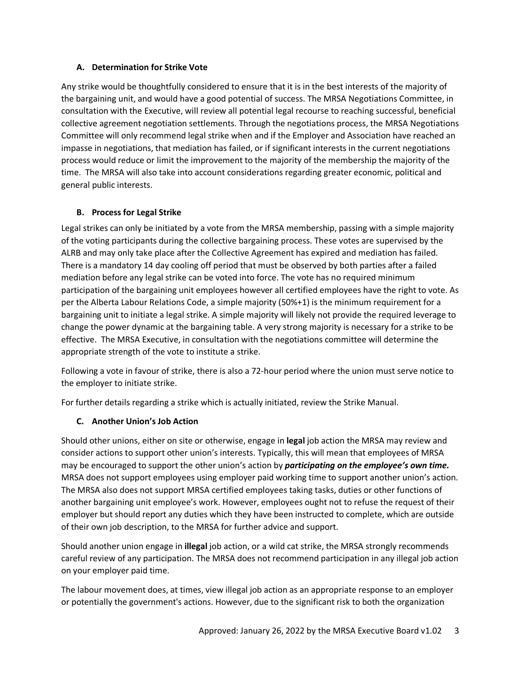## **A. Determination for Strike Vote**

Any strike would be thoughtfully considered to ensure that it is in the best interests of the majority of the bargaining unit, and would have a good potential of success. The MRSA Negotiations Committee, in consultation with the Executive, will review all potential legal recourse to reaching successful, beneficial collective agreement negotiation settlements. Through the negotiations process, the MRSA Negotiations Committee will only recommend legal strike when and if the Employer and Association have reached an impasse in negotiations, that mediation has failed, or if significant interests in the current negotiations process would reduce or limit the improvement to the majority of the membership the majority of the time. The MRSA will also take into account considerations regarding greater economic, political and general public interests.

## **B. Process for Legal Strike**

Legal strikes can only be initiated by a vote from the MRSA membership, passing with a simple majority of the voting participants during the collective bargaining process. These votes are supervised by the ALRB and may only take place after the Collective Agreement has expired and mediation has failed. There is a mandatory 14 day cooling off period that must be observed by both parties after a failed mediation before any legal strike can be voted into force. The vote has no required minimum participation of the bargaining unit employees however all certified employees have the right to vote. As per the Alberta Labour Relations Code, a simple majority (50%+1) is the minimum requirement for a bargaining unit to initiate a legal strike. A simple majority will likely not provide the required leverage to change the power dynamic at the bargaining table. A very strong majority is necessary for a strike to be effective. The MRSA Executive, in consultation with the negotiations committee will determine the appropriate strength of the vote to institute a strike.

Following a vote in favour of strike, there is also a 72-hour period where the union must serve notice to the employer to initiate strike.

For further details regarding a strike which is actually initiated, review the Strike Manual.

## **C. Another Union's Job Action**

Should other unions, either on site or otherwise, engage in **legal** job action the MRSA may review and consider actions to support other union's interests. Typically, this will mean that employees of MRSA may be encouraged to support the other union's action by *participating on the employee's own time.* MRSA does not support employees using employer paid working time to support another union's action. The MRSA also does not support MRSA certified employees taking tasks, duties or other functions of another bargaining unit employee's work. However, employees ought not to refuse the request of their employer but should report any duties which they have been instructed to complete, which are outside of their own job description, to the MRSA for further advice and support.

Should another union engage in **illegal** job action, or a wild cat strike, the MRSA strongly recommends careful review of any participation. The MRSA does not recommend participation in any illegal job action on your employer paid time.

The labour movement does, at times, view illegal job action as an appropriate response to an employer or potentially the government's actions. However, due to the significant risk to both the organization